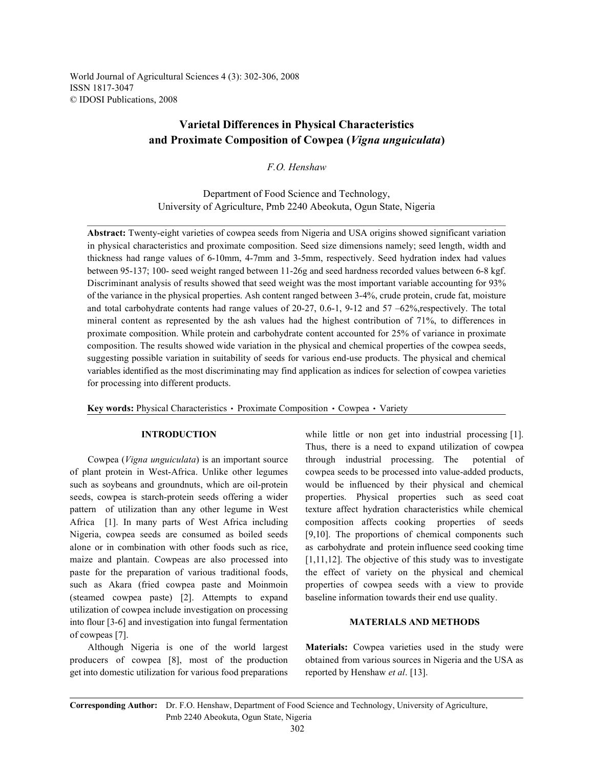World Journal of Agricultural Sciences 4 (3): 302-306, 2008 ISSN 1817-3047 © IDOSI Publications, 2008

# **Varietal Differences in Physical Characteristics and Proximate Composition of Cowpea (***Vigna unguiculata***)**

*F.O. Henshaw*

Department of Food Science and Technology, University of Agriculture, Pmb 2240 Abeokuta, Ogun State, Nigeria

**Abstract:** Twenty-eight varieties of cowpea seeds from Nigeria and USA origins showed significant variation in physical characteristics and proximate composition. Seed size dimensions namely; seed length, width and thickness had range values of 6-10mm, 4-7mm and 3-5mm, respectively. Seed hydration index had values between 95-137; 100- seed weight ranged between 11-26g and seed hardness recorded values between 6-8 kgf. Discriminant analysis of results showed that seed weight was the most important variable accounting for 93% of the variance in the physical properties. Ash content ranged between 3-4%, crude protein, crude fat, moisture and total carbohydrate contents had range values of 20-27, 0.6-1, 9-12 and 57 –62%,respectively. The total mineral content as represented by the ash values had the highest contribution of 71%, to differences in proximate composition. While protein and carbohydrate content accounted for 25% of variance in proximate composition. The results showed wide variation in the physical and chemical properties of the cowpea seeds, suggesting possible variation in suitability of seeds for various end-use products. The physical and chemical variables identified as the most discriminating may find application as indices for selection of cowpea varieties for processing into different products.

Key words: Physical Characteristics • Proximate Composition • Cowpea • Variety

of plant protein in West-Africa. Unlike other legumes cowpea seeds to be processed into value-added products, such as soybeans and groundnuts, which are oil-protein would be influenced by their physical and chemical seeds, cowpea is starch-protein seeds offering a wider properties. Physical properties such as seed coat pattern of utilization than any other legume in West texture affect hydration characteristics while chemical Africa [1]. In many parts of West Africa including composition affects cooking properties of seeds Nigeria, cowpea seeds are consumed as boiled seeds [9,10]. The proportions of chemical components such alone or in combination with other foods such as rice, as carbohydrate and protein influence seed cooking time maize and plantain. Cowpeas are also processed into [1,11,12]. The objective of this study was to investigate paste for the preparation of various traditional foods, the effect of variety on the physical and chemical such as Akara (fried cowpea paste and Moinmoin properties of cowpea seeds with a view to provide (steamed cowpea paste) [2]. Attempts to expand baseline information towards their end use quality. utilization of cowpea include investigation on processing into flour [3-6] and investigation into fungal fermentation **MATERIALS AND METHODS** of cowpeas [7].

producers of cowpea [8], most of the production obtained from various sources in Nigeria and the USA as get into domestic utilization for various food preparations reported by Henshaw *et al*. [13].

**INTRODUCTION** while little or non get into industrial processing [1]. Cowpea (*Vigna unguiculata*) is an important source through industrial processing. The potential of Thus, there is a need to expand utilization of cowpea

Although Nigeria is one of the world largest **Materials:** Cowpea varieties used in the study were

**Corresponding Author:** Dr. F.O. Henshaw, Department of Food Science and Technology, University of Agriculture, Pmb 2240 Abeokuta, Ogun State, Nigeria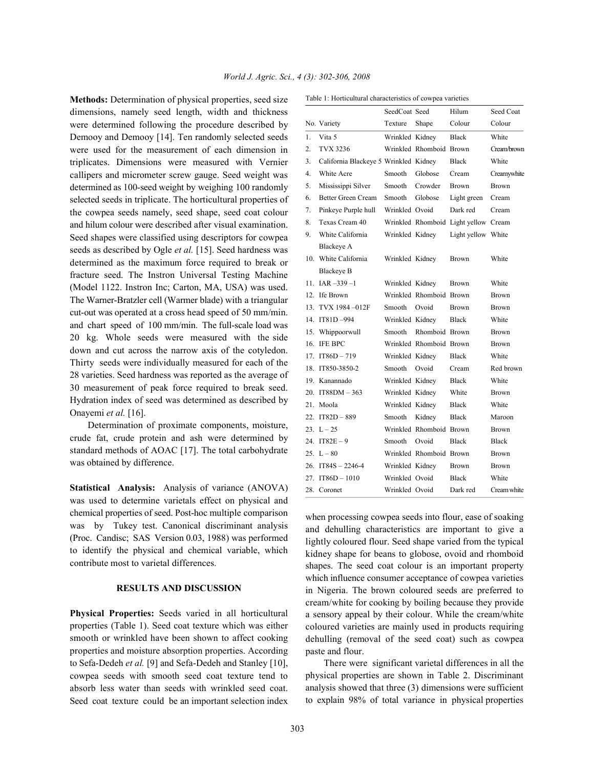**Methods:** Determination of physical properties, seed size dimensions, namely seed length, width and thickness were determined following the procedure described by Demooy and Demooy [14]. Ten randomly selected seeds were used for the measurement of each dimension in triplicates. Dimensions were measured with Vernier callipers and micrometer screw gauge. Seed weight was determined as 100-seed weight by weighing 100 randomly selected seeds in triplicate. The horticultural properties of the cowpea seeds namely, seed shape, seed coat colour and hilum colour were described after visual examination. Seed shapes were classified using descriptors for cowpea seeds as described by Ogle *et al.* [15]. Seed hardness was determined as the maximum force required to break or fracture seed. The Instron Universal Testing Machine (Model 1122. Instron Inc; Carton, MA, USA) was used. The Warner-Bratzler cell (Warmer blade) with a triangular cut-out was operated at a cross head speed of 50 mm/min. and chart speed of 100 mm/min. The full-scale load was 20 kg. Whole seeds were measured with the side down and cut across the narrow axis of the cotyledon. Thirty seeds were individually measured for each of the 28 varieties. Seed hardness was reported as the average of 30 measurement of peak force required to break seed. Hydration index of seed was determined as described by Onayemi *et al.* [16].

Determination of proximate components, moisture, crude fat, crude protein and ash were determined by standard methods of AOAC [17]. The total carbohydrate was obtained by difference.

**Statistical Analysis:** Analysis of variance (ANOVA) was used to determine varietals effect on physical and chemical properties of seed. Post-hoc multiple comparison was by Tukey test. Canonical discriminant analysis (Proc. Candisc; SAS Version 0.03, 1988) was performed to identify the physical and chemical variable, which contribute most to varietal differences.

## **RESULTS AND DISCUSSION**

**Physical Properties:** Seeds varied in all horticultural properties (Table 1). Seed coat texture which was either smooth or wrinkled have been shown to affect cooking properties and moisture absorption properties. According to Sefa-Dedeh *et al.* [9] and Sefa-Dedeh and Stanley [10], cowpea seeds with smooth seed coat texture tend to absorb less water than seeds with wrinkled seed coat. Seed coat texture could be an important selection index

|                 |                                       | SeedCoat Seed   |                         | Hilum                                | Seed Coat    |
|-----------------|---------------------------------------|-----------------|-------------------------|--------------------------------------|--------------|
|                 | No. Variety                           | Texture         | Shape                   | Colour                               | Colour       |
| 1.              | Vita 5                                | Wrinkled Kidney |                         | <b>Black</b>                         | White        |
| $\overline{2}$  | TVX 3236                              |                 | Wrinkled Rhomboid Brown |                                      | Cream/brown  |
| 3.              | California Blackeye 5 Wrinkled Kidney |                 |                         | <b>Black</b>                         | White        |
| 4.              | White Acre                            | Smooth          | Globose                 | Cream                                | Creamywhite  |
| 5.              | Mississippi Silver                    | Smooth          | Crowder                 | <b>Brown</b>                         | <b>Brown</b> |
| 6.              | Better Green Cream                    | Smooth          | Globose                 | Light green                          | Cream        |
| 7.              | Pinkeye Purple hull                   | Wrinkled Ovoid  |                         | Dark red                             | Cream        |
| 8.              | Texas Cream 40                        |                 |                         | Wrinkled Rhomboid Light yellow Cream |              |
| 9.              | White California                      | Wrinkled Kidney |                         | Light yellow White                   |              |
|                 | <b>Blackeye A</b>                     |                 |                         |                                      |              |
|                 | 10. White California                  | Wrinkled Kidney |                         | <b>Brown</b>                         | White        |
|                 | <b>Blackeye B</b>                     |                 |                         |                                      |              |
|                 | 11. $IAR - 339 - 1$                   | Wrinkled Kidney |                         | <b>Brown</b>                         | White        |
|                 | 12. Ife Brown                         |                 | Wrinkled Rhomboid Brown |                                      | <b>Brown</b> |
| 13.             | TVX 1984-012F                         | Smooth          | Ovoid                   | <b>Brown</b>                         | Brown        |
|                 | 14. IT81D-994                         | Wrinkled Kidney |                         | <b>Black</b>                         | White        |
| 15.             | Whippoorwull                          | Smooth.         | Rhomboid Brown          |                                      | <b>Brown</b> |
|                 | 16. IFE BPC                           |                 | Wrinkled Rhomboid Brown |                                      | <b>Brown</b> |
| 17 <sub>1</sub> | $IT86D - 719$                         | Wrinkled Kidney |                         | <b>Black</b>                         | White        |
| 18.             | IT850-3850-2                          | Smooth          | Ovoid                   | Cream                                | Red brown    |
|                 | 19. Kanannado                         | Wrinkled Kidney |                         | <b>Black</b>                         | White        |
|                 | 20. IT88DM - 363                      | Wrinkled Kidney |                         | White                                | Brown        |
| 21.             | Moola                                 | Wrinkled Kidney |                         | <b>Black</b>                         | White        |
|                 | $22.$ IT82D - 889                     | Smooth          | Kidney                  | Black                                | Maroon       |
|                 | $23. L - 25$                          |                 | Wrinkled Rhomboid Brown |                                      | <b>Brown</b> |
|                 | 24. $IT82E - 9$                       | Smooth          | Ovoid                   | <b>Black</b>                         | <b>Black</b> |
|                 | $25. L - 80$                          |                 | Wrinkled Rhomboid Brown |                                      | <b>Brown</b> |
|                 | 26. IT84S - 2246-4                    | Wrinkled Kidney |                         | <b>Brown</b>                         | Brown        |
| 27.             | $IT86D - 1010$                        | Wrinkled Ovoid  |                         | <b>Black</b>                         | White        |
|                 | 28. Coronet                           | Wrinkled Ovoid  |                         | Dark red                             | Cream white  |

Table 1: Horticultural characteristics of cowpea varieties

when processing cowpea seeds into flour, ease of soaking and dehulling characteristics are important to give a lightly coloured flour. Seed shape varied from the typical kidney shape for beans to globose, ovoid and rhomboid shapes. The seed coat colour is an important property which influence consumer acceptance of cowpea varieties in Nigeria. The brown coloured seeds are preferred to cream/white for cooking by boiling because they provide a sensory appeal by their colour. While the cream/white coloured varieties are mainly used in products requiring dehulling (removal of the seed coat) such as cowpea paste and flour.

There were significant varietal differences in all the physical properties are shown in Table 2. Discriminant analysis showed that three (3) dimensions were sufficient to explain 98% of total variance in physical properties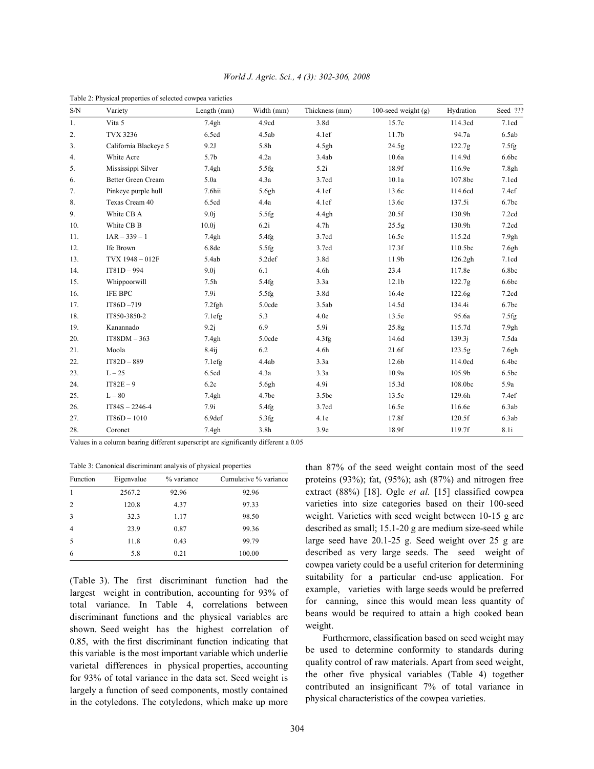| S/N            | Variety                   | Length (mm)       | Width (mm)        | Thickness (mm)    | 100-seed weight $(g)$ | Hydration | Seed ???          |
|----------------|---------------------------|-------------------|-------------------|-------------------|-----------------------|-----------|-------------------|
| 1.             | Vita 5                    | 7.4gh             | 4.9cd             | 3.8d<br>15.7c     |                       | 114.3cd   | 7.1cd             |
| 2.             | <b>TVX 3236</b>           | 6.5cd             | 4.5ab             | 4.1ef             | 11.7 <sub>b</sub>     | 94.7a     | 6.5ab             |
| 3 <sub>1</sub> | California Blackeye 5     | 9.2J              | 5.8h              | 4.5gh             | 24.5g                 | 122.7g    | 7.5fg             |
| 4.             | White Acre                | 5.7b              | 4.2a              | 3.4ab             | 10.6a                 | 114.9d    | 6.6bc             |
| 5.             | Mississippi Silver        | 7.4gh             | 5.5fg             | 5.2i              | 18.9f                 | 116.9e    | 7.8gh             |
| 6.             | <b>Better Green Cream</b> | 5.0a              | 4.3a              | 3.7cd             | 10.1a                 | 107.8bc   | 7.1cd             |
| 7.             | Pinkeye purple hull       | 7.6hii            | 5.6gh             | 4.1ef             | 13.6c                 | 114.6cd   | 7.4ef             |
| 8.             | Texas Cream 40            | 6.5cd             | 4.4a              | 4.1cf             | 13.6c                 | 137.5i    | 6.7bc             |
| 9.             | White CB A                | 9.0j              | 5.5fg             | 4.4gh             | 20.5f                 | 130.9h    | 7.2cd             |
| 10.            | White CB B                | 10.0 <sub>i</sub> | 6.2i              | 4.7 <sub>h</sub>  | 25.5g                 | 130.9h    | 7.2cd             |
| 11.            | $IAR - 339 - 1$           | 7.4gh             | 5.4fg             | 3.7cd             | 16.5c                 | 115.2d    | 7.9gh             |
| 12.            | Ife Brown                 | 6.8de             | 5.5fg             | 3.7cd             | 17.3f                 | 110.5bc   | 7.6gh             |
| 13.            | TVX 1948 - 012F           | 5.4ab             | 5.2def            | 3.8d              | 11.9b                 | 126.2gh   | 7.1cd             |
| 14.            | $IT81D - 994$             | 9.0 <sub>i</sub>  | 6.1               | 4.6h              | 23.4                  | 117.8e    | 6.8bc             |
| 15.            | Whippoorwill              | 7.5 <sub>h</sub>  | 5.4fg             | 3.3a              | 12.1 <sub>b</sub>     | 122.7g    | 6.6bc             |
| 16.            | IFE BPC                   | 7.9i              | 5.5fg             | 3.8d              | 16.4e                 | 122.6g    | 7.2cd             |
| 17.            | IT86D-719                 | $7.2$ fgh         | 5.0cde            | 3.5ab             | 14.5d                 | 134.4i    | 6.7 <sub>bc</sub> |
| 18.            | IT850-3850-2              | 7.1efg            | 5.3               | 4.0e              | 13.5e                 | 95.6a     | 7.5fg             |
| 19.            | Kanannado                 | 9.2j              | 6.9               | 5.9i              | 25.8 <sub>g</sub>     | 115.7d    | 7.9gh             |
| 20.            | $IT88DM - 363$            | 7.4gh             | 5.0cde            | 4.3fg             | 14.6d                 | 139.3j    | 7.5da             |
| 21.            | Moola                     | 8.4 <sub>ij</sub> | 6.2               | 4.6h              | 21.6f                 | 123.5g    | 7.6gh             |
| 22.            | $IT82D - 889$             | 7.1efg            | 4.4ab             | 3.3a              | 12.6b                 | 114.0cd   | 6.4bc             |
| 23.            | $L-25$                    | 6.5cd             | 4.3a              | 3.3a              | 10.9a                 | 105.9b    | 6.5bc             |
| 24.            | $IT82E - 9$               | 6.2c              | 5.6gh             | 4.9i              | 15.3d                 | 108.0bc   | 5.9a              |
| 25.            | $L - 80$                  | 7.4gh             | 4.7 <sub>bc</sub> | 3.5 <sub>bc</sub> | 13.5c                 | 129.6h    | 7.4ef             |
| 26.            | $IT84S - 2246-4$          | 7.9i              | 5.4fg             | 3.7cd             | 16.5e                 | 116.6e    | 6.3ab             |
| 27.            | $IT86D - 1010$            | 6.9def            | 5.3fg             | 4.1e              | 17.8f                 | 120.5f    | 6.3ab             |
| 28.            | Coronet                   | 7.4gh             | 3.8h              | 3.9e              | 18.9f                 | 119.7f    | 8.1i              |

*World J. Agric. Sci., 4 (3): 302-306, 2008*

Table 2: Physical properties of selected cowpea varieties

Values in a column bearing different superscript are significantly different a 0.05

Table 3: Canonical discriminant analysis of physical properties

| Function       | Eigenvalue | % variance | Cumulative % variance |
|----------------|------------|------------|-----------------------|
| $\mathbf{1}$   | 2567.2     | 92.96      | 92.96                 |
| $\overline{2}$ | 120.8      | 4.37       | 97.33                 |
| 3              | 32.3       | 1.17       | 98.50                 |
| $\overline{4}$ | 23.9       | 0.87       | 99.36                 |
| 5              | 11.8       | 0.43       | 99.79                 |
| 6              | 5.8        | 0.21       | 100.00                |

(Table 3). The first discriminant function had the largest weight in contribution, accounting for 93% of total variance. In Table 4, correlations between discriminant functions and the physical variables are shown. Seed weight has the highest correlation of 0.85, with the first discriminant function indicating that this variable is the most important variable which underlie varietal differences in physical properties, accounting for 93% of total variance in the data set. Seed weight is largely a function of seed components, mostly contained in the cotyledons. The cotyledons, which make up more than 87% of the seed weight contain most of the seed proteins (93%); fat, (95%); ash (87%) and nitrogen free extract (88%) [18]. Ogle *et al.* [15] classified cowpea varieties into size categories based on their 100-seed weight. Varieties with seed weight between 10-15 g are described as small; 15.1-20 g are medium size-seed while large seed have 20.1-25 g. Seed weight over 25 g are described as very large seeds. The seed weight of cowpea variety could be a useful criterion for determining suitability for a particular end-use application. For example, varieties with large seeds would be preferred for canning, since this would mean less quantity of beans would be required to attain a high cooked bean weight.

Furthermore, classification based on seed weight may be used to determine conformity to standards during quality control of raw materials. Apart from seed weight, the other five physical variables (Table 4) together contributed an insignificant 7% of total variance in physical characteristics of the cowpea varieties.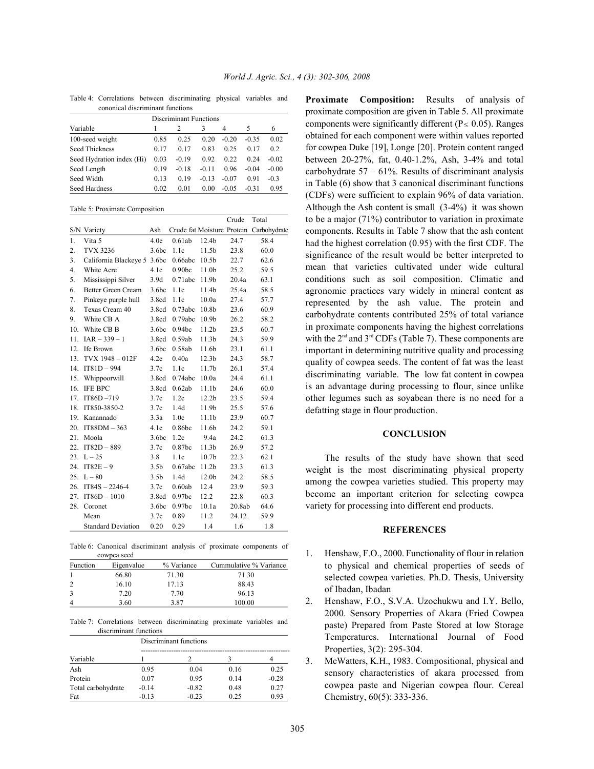| cononical discriminant functions |      |         |         |         |         |         |  |
|----------------------------------|------|---------|---------|---------|---------|---------|--|
| <b>Discriminant Functions</b>    |      |         |         |         |         |         |  |
| Variable                         |      |         | 3       | 4       | 5       | 6       |  |
| 100-seed weight                  | 0.85 | 0.25    | 0.20    | $-0.20$ | $-0.35$ | 0.02    |  |
| <b>Seed Thickness</b>            | 0.17 | 0.17    | 0.83    | 0.25    | 0.17    | 0.2     |  |
| Seed Hydration index (Hi)        | 0.03 | $-0.19$ | 0.92    | 0.22    | 0.24    | $-0.02$ |  |
| Seed Length                      | 0.19 | $-0.18$ | $-0.11$ | 0.96    | $-0.04$ | $-0.00$ |  |
| Seed Width                       | 0.13 | 0.19    | $-0.13$ | $-0.07$ | 0.91    | $-0.3$  |  |
| Seed Hardness                    | 0.02 | 0.01    | 0.00    | $-0.05$ | $-0.31$ | 0.95    |  |

Table 4: Correlations between discriminating physical variables and cononical discriminant functions

|                  |                             |                   |                    |                   | Crude  | Total                                   |
|------------------|-----------------------------|-------------------|--------------------|-------------------|--------|-----------------------------------------|
|                  | S/N Variety                 | Ash               |                    |                   |        | Crude fat Moisture Protein Carbohydrate |
| 1.               | Vita 5                      | 4.0e              | 0.61ab             | 12.4 <sub>b</sub> | 24.7   | 58.4                                    |
| 2.               | <b>TVX 3236</b>             | 3.6 <sub>bc</sub> | 1.1c               | 11.5b             | 23.8   | 60.0                                    |
| 3.               | California Blackeye 5 3.6bc |                   | 0.66abc            | 10.5 <sub>b</sub> | 22.7   | 62.6                                    |
| $\overline{4}$ . | White Acre                  | 4.1c              | 0.90 <sub>b</sub>  | 11.0 <sub>b</sub> | 25.2   | 59.5                                    |
| 5.               | Mississippi Silver          | 3.9d              | 0.71abc            | 11.9b             | 20.4a  | 63.1                                    |
| 6.               | Better Green Cream          | 3.6 <sub>bc</sub> | 1.1c               | 11.4b             | 25.4a  | 58.5                                    |
| 7.               | Pinkeye purple hull         | 3.8cd             | 1.1c               | 10.0a             | 27.4   | 57.7                                    |
| 8.               | Texas Cream 40              | 3.8cd             | 0.73abc            | 10.8b             | 23.6   | 60.9                                    |
| 9.               | White CB A                  | 3.8cd             | 0.79abc            | 10.9 <sub>b</sub> | 26.2   | 58.2                                    |
| 10.              | White CB B                  | 3.6 <sub>bc</sub> | 0.94 <sub>bc</sub> | 11.2 <sub>b</sub> | 23.5   | 60.7                                    |
| 11.              | $IAR - 339 - 1$             | 3.8cd             | 0.59ab             | 11.3 <sub>b</sub> | 24.3   | 59.9                                    |
| 12.              | Ife Brown                   | 3.6 <sub>bc</sub> | 0.58ab             | 11.6b             | 23.1   | 61.1                                    |
| 13.              | TVX 1948 - 012F             | 4.2e              | 0.40a              | 12.3 <sub>b</sub> | 24.3   | 58.7                                    |
| 14.              | $IT81D - 994$               | 3.7c              | 1.1c               | 11.7b             | 26.1   | 57.4                                    |
| 15.              | Whippoorwill                | 3.8cd             | 0.74abc            | 10.0a             | 24.4   | 61.1                                    |
| 16.              | <b>IFE BPC</b>              | 3.8cd             | 0.62ab             | 11.1 <sub>b</sub> | 24.6   | 60.0                                    |
| 17.              | IT86D-719                   | 3.7c              | 1.2c               | 12.2 <sub>b</sub> | 23.5   | 59.4                                    |
| 18.              | IT850-3850-2                | 3.7c              | 1.4d               | 11.9b             | 25.5   | 57.6                                    |
| 19.              | Kanannado                   | 3.3a              | 1.0c               | 11.1 <sub>b</sub> | 23.9   | 60.7                                    |
| 20.              | $IT88DM - 363$              | 4.1e              | 0.86 <sub>b</sub>  | 11.6b             | 24.2   | 59.1                                    |
| 21.              | Moola                       | 3.6 <sub>bc</sub> | 1.2c               | 9.4a              | 24.2   | 61.3                                    |
| 22.              | $IT82D - 889$               | 3.7c              | 0.87 <sub>bc</sub> | 11.3 <sub>b</sub> | 26.9   | 57.2                                    |
| 23.              | $L - 25$                    | 3.8               | 1.1c               | 10.7 <sub>b</sub> | 22.3   | 62.1                                    |
| 24.              | $IT82E - 9$                 | 3.5 <sub>b</sub>  | 0.67abc            | 11.2 <sub>b</sub> | 23.3   | 61.3                                    |
| 25.              | $L - 80$                    | 3.5 <sub>b</sub>  | 1.4d               | 12.0 <sub>b</sub> | 24.2   | 58.5                                    |
| 26.              | $IT84S - 2246-4$            | 3.7c              | 0.60ab             | 12.4              | 23.9   | 59.3                                    |
| 27.              | $IT86D - 1010$              | 3.8cd             | 0.97bc             | 12.2              | 22.8   | 60.3                                    |
| 28.              | Coronet                     | 3.6 <sub>bc</sub> | 0.97 <sub>bc</sub> | 10.1a             | 20.8ab | 64.6                                    |
|                  | Mean                        | 3.7c              | 0.89               | 11.2              | 24.12  | 59.9                                    |
|                  | <b>Standard Deviation</b>   | 0.20              | 0.29               | 1.4               | 1.6    | 1.8                                     |

Table 6: Canonical discriminant analysis of proximate components of cowpea seed

| Function      | Eigenvalue | % Variance | Cummulative % Variance |
|---------------|------------|------------|------------------------|
|               | 66.80      | 71.30      | 71.30                  |
|               | 16.10      | 17.13      | 88.43                  |
| $\mathcal{R}$ | 7.20       | 7.70       | 96.13                  |
| $\Delta$      | 3.60       | 3.87       | 100.00                 |

Table 7: Correlations between discriminating proximate variables and discriminant functions

|                    | Discriminant functions |         |      |         |  |  |  |
|--------------------|------------------------|---------|------|---------|--|--|--|
| Variable           |                        |         |      |         |  |  |  |
| Ash                | 0.95                   | 0.04    | 0.16 | 0.25    |  |  |  |
| Protein            | 0.07                   | 0.95    | 0.14 | $-0.28$ |  |  |  |
| Total carbohydrate | $-0.14$                | $-0.82$ | 0.48 | 0.27    |  |  |  |
| Fat                | $-0.13$                | $-0.23$ | 0.25 | 0.93    |  |  |  |

**Proximate Composition:** Results of analysis of proximate composition are given in Table 5. All proximate components were significantly different ( $P \le 0.05$ ). Ranges obtained for each component were within values reported for cowpea Duke [19], Longe [20]. Protein content ranged between 20-27%, fat, 0.40-1.2%, Ash, 3-4% and total carbohydrate  $57 - 61\%$ . Results of discriminant analysis in Table (6) show that 3 canonical discriminant functions (CDFs) were sufficient to explain 96% of data variation. Although the Ash content is small (3-4%) it was shown to be a major (71%) contributor to variation in proximate components. Results in Table 7 show that the ash content had the highest correlation (0.95) with the first CDF. The significance of the result would be better interpreted to mean that varieties cultivated under wide cultural conditions such as soil composition. Climatic and agronomic practices vary widely in mineral content as represented by the ash value. The protein and carbohydrate contents contributed 25% of total variance in proximate components having the highest correlations with the  $2<sup>nd</sup>$  and  $3<sup>rd</sup>$  CDFs (Table 7). These components are important in determining nutritive quality and processing quality of cowpea seeds. The content of fat was the least discriminating variable. The low fat content in cowpea is an advantage during processing to flour, since unlike other legumes such as soyabean there is no need for a defatting stage in flour production.

### **CONCLUSION**

The results of the study have shown that seed weight is the most discriminating physical property among the cowpea varieties studied. This property may become an important criterion for selecting cowpea variety for processing into different end products.

### **REFERENCES**

- 1. Henshaw, F.O., 2000. Functionality of flour in relation to physical and chemical properties of seeds of selected cowpea varieties. Ph.D. Thesis, University of Ibadan, Ibadan
- 2. Henshaw, F.O., S.V.A. Uzochukwu and I.Y. Bello, 2000. Sensory Properties of Akara (Fried Cowpea paste) Prepared from Paste Stored at low Storage Temperatures. International Journal of Food Properties, 3(2): 295-304.
- 3. McWatters, K.H., 1983. Compositional, physical and sensory characteristics of akara processed from cowpea paste and Nigerian cowpea flour. Cereal Chemistry, 60(5): 333-336.